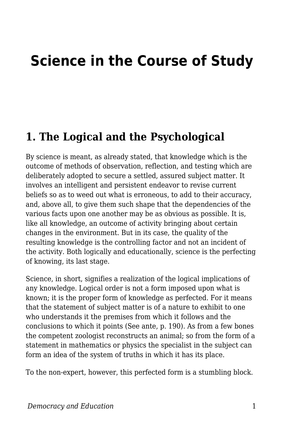# **Science in the Course of Study**

#### **1. The Logical and the Psychological**

By science is meant, as already stated, that knowledge which is the outcome of methods of observation, reflection, and testing which are deliberately adopted to secure a settled, assured subject matter. It involves an intelligent and persistent endeavor to revise current beliefs so as to weed out what is erroneous, to add to their accuracy, and, above all, to give them such shape that the dependencies of the various facts upon one another may be as obvious as possible. It is, like all knowledge, an outcome of activity bringing about certain changes in the environment. But in its case, the quality of the resulting knowledge is the controlling factor and not an incident of the activity. Both logically and educationally, science is the perfecting of knowing, its last stage.

Science, in short, signifies a realization of the logical implications of any knowledge. Logical order is not a form imposed upon what is known; it is the proper form of knowledge as perfected. For it means that the statement of subject matter is of a nature to exhibit to one who understands it the premises from which it follows and the conclusions to which it points (See ante, p. 190). As from a few bones the competent zoologist reconstructs an animal; so from the form of a statement in mathematics or physics the specialist in the subject can form an idea of the system of truths in which it has its place.

To the non-expert, however, this perfected form is a stumbling block.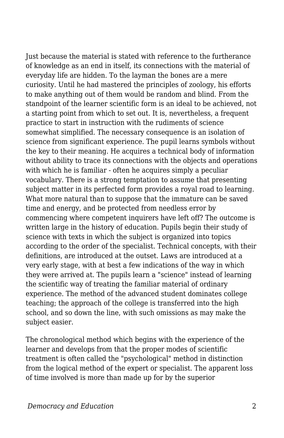Just because the material is stated with reference to the furtherance of knowledge as an end in itself, its connections with the material of everyday life are hidden. To the layman the bones are a mere curiosity. Until he had mastered the principles of zoology, his efforts to make anything out of them would be random and blind. From the standpoint of the learner scientific form is an ideal to be achieved, not a starting point from which to set out. It is, nevertheless, a frequent practice to start in instruction with the rudiments of science somewhat simplified. The necessary consequence is an isolation of science from significant experience. The pupil learns symbols without the key to their meaning. He acquires a technical body of information without ability to trace its connections with the objects and operations with which he is familiar - often he acquires simply a peculiar vocabulary. There is a strong temptation to assume that presenting subject matter in its perfected form provides a royal road to learning. What more natural than to suppose that the immature can be saved time and energy, and be protected from needless error by commencing where competent inquirers have left off? The outcome is written large in the history of education. Pupils begin their study of science with texts in which the subject is organized into topics according to the order of the specialist. Technical concepts, with their definitions, are introduced at the outset. Laws are introduced at a very early stage, with at best a few indications of the way in which they were arrived at. The pupils learn a "science" instead of learning the scientific way of treating the familiar material of ordinary experience. The method of the advanced student dominates college teaching; the approach of the college is transferred into the high school, and so down the line, with such omissions as may make the subject easier.

The chronological method which begins with the experience of the learner and develops from that the proper modes of scientific treatment is often called the "psychological" method in distinction from the logical method of the expert or specialist. The apparent loss of time involved is more than made up for by the superior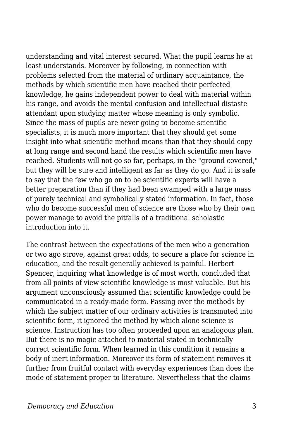understanding and vital interest secured. What the pupil learns he at least understands. Moreover by following, in connection with problems selected from the material of ordinary acquaintance, the methods by which scientific men have reached their perfected knowledge, he gains independent power to deal with material within his range, and avoids the mental confusion and intellectual distaste attendant upon studying matter whose meaning is only symbolic. Since the mass of pupils are never going to become scientific specialists, it is much more important that they should get some insight into what scientific method means than that they should copy at long range and second hand the results which scientific men have reached. Students will not go so far, perhaps, in the "ground covered," but they will be sure and intelligent as far as they do go. And it is safe to say that the few who go on to be scientific experts will have a better preparation than if they had been swamped with a large mass of purely technical and symbolically stated information. In fact, those who do become successful men of science are those who by their own power manage to avoid the pitfalls of a traditional scholastic introduction into it.

The contrast between the expectations of the men who a generation or two ago strove, against great odds, to secure a place for science in education, and the result generally achieved is painful. Herbert Spencer, inquiring what knowledge is of most worth, concluded that from all points of view scientific knowledge is most valuable. But his argument unconsciously assumed that scientific knowledge could be communicated in a ready-made form. Passing over the methods by which the subject matter of our ordinary activities is transmuted into scientific form, it ignored the method by which alone science is science. Instruction has too often proceeded upon an analogous plan. But there is no magic attached to material stated in technically correct scientific form. When learned in this condition it remains a body of inert information. Moreover its form of statement removes it further from fruitful contact with everyday experiences than does the mode of statement proper to literature. Nevertheless that the claims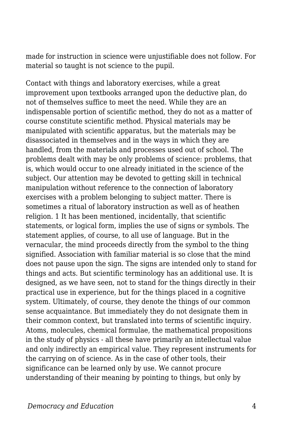made for instruction in science were unjustifiable does not follow. For material so taught is not science to the pupil.

Contact with things and laboratory exercises, while a great improvement upon textbooks arranged upon the deductive plan, do not of themselves suffice to meet the need. While they are an indispensable portion of scientific method, they do not as a matter of course constitute scientific method. Physical materials may be manipulated with scientific apparatus, but the materials may be disassociated in themselves and in the ways in which they are handled, from the materials and processes used out of school. The problems dealt with may be only problems of science: problems, that is, which would occur to one already initiated in the science of the subject. Our attention may be devoted to getting skill in technical manipulation without reference to the connection of laboratory exercises with a problem belonging to subject matter. There is sometimes a ritual of laboratory instruction as well as of heathen religion. 1 It has been mentioned, incidentally, that scientific statements, or logical form, implies the use of signs or symbols. The statement applies, of course, to all use of language. But in the vernacular, the mind proceeds directly from the symbol to the thing signified. Association with familiar material is so close that the mind does not pause upon the sign. The signs are intended only to stand for things and acts. But scientific terminology has an additional use. It is designed, as we have seen, not to stand for the things directly in their practical use in experience, but for the things placed in a cognitive system. Ultimately, of course, they denote the things of our common sense acquaintance. But immediately they do not designate them in their common context, but translated into terms of scientific inquiry. Atoms, molecules, chemical formulae, the mathematical propositions in the study of physics - all these have primarily an intellectual value and only indirectly an empirical value. They represent instruments for the carrying on of science. As in the case of other tools, their significance can be learned only by use. We cannot procure understanding of their meaning by pointing to things, but only by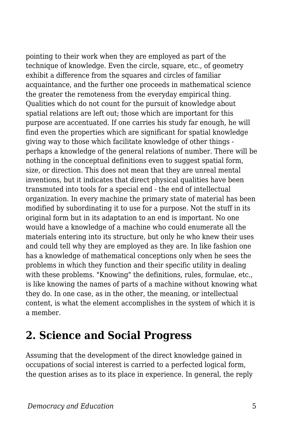pointing to their work when they are employed as part of the technique of knowledge. Even the circle, square, etc., of geometry exhibit a difference from the squares and circles of familiar acquaintance, and the further one proceeds in mathematical science the greater the remoteness from the everyday empirical thing. Qualities which do not count for the pursuit of knowledge about spatial relations are left out; those which are important for this purpose are accentuated. If one carries his study far enough, he will find even the properties which are significant for spatial knowledge giving way to those which facilitate knowledge of other things perhaps a knowledge of the general relations of number. There will be nothing in the conceptual definitions even to suggest spatial form, size, or direction. This does not mean that they are unreal mental inventions, but it indicates that direct physical qualities have been transmuted into tools for a special end - the end of intellectual organization. In every machine the primary state of material has been modified by subordinating it to use for a purpose. Not the stuff in its original form but in its adaptation to an end is important. No one would have a knowledge of a machine who could enumerate all the materials entering into its structure, but only he who knew their uses and could tell why they are employed as they are. In like fashion one has a knowledge of mathematical conceptions only when he sees the problems in which they function and their specific utility in dealing with these problems. "Knowing" the definitions, rules, formulae, etc., is like knowing the names of parts of a machine without knowing what they do. In one case, as in the other, the meaning, or intellectual content, is what the element accomplishes in the system of which it is a member.

#### **2. Science and Social Progress**

Assuming that the development of the direct knowledge gained in occupations of social interest is carried to a perfected logical form, the question arises as to its place in experience. In general, the reply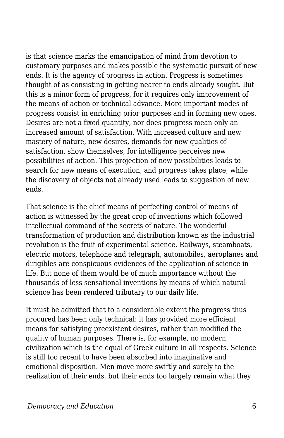is that science marks the emancipation of mind from devotion to customary purposes and makes possible the systematic pursuit of new ends. It is the agency of progress in action. Progress is sometimes thought of as consisting in getting nearer to ends already sought. But this is a minor form of progress, for it requires only improvement of the means of action or technical advance. More important modes of progress consist in enriching prior purposes and in forming new ones. Desires are not a fixed quantity, nor does progress mean only an increased amount of satisfaction. With increased culture and new mastery of nature, new desires, demands for new qualities of satisfaction, show themselves, for intelligence perceives new possibilities of action. This projection of new possibilities leads to search for new means of execution, and progress takes place; while the discovery of objects not already used leads to suggestion of new ends.

That science is the chief means of perfecting control of means of action is witnessed by the great crop of inventions which followed intellectual command of the secrets of nature. The wonderful transformation of production and distribution known as the industrial revolution is the fruit of experimental science. Railways, steamboats, electric motors, telephone and telegraph, automobiles, aeroplanes and dirigibles are conspicuous evidences of the application of science in life. But none of them would be of much importance without the thousands of less sensational inventions by means of which natural science has been rendered tributary to our daily life.

It must be admitted that to a considerable extent the progress thus procured has been only technical: it has provided more efficient means for satisfying preexistent desires, rather than modified the quality of human purposes. There is, for example, no modern civilization which is the equal of Greek culture in all respects. Science is still too recent to have been absorbed into imaginative and emotional disposition. Men move more swiftly and surely to the realization of their ends, but their ends too largely remain what they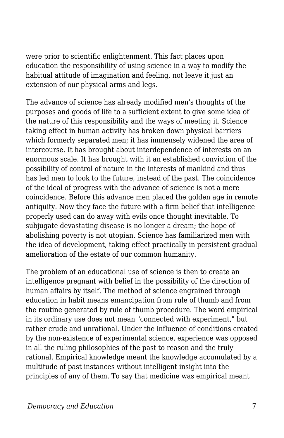were prior to scientific enlightenment. This fact places upon education the responsibility of using science in a way to modify the habitual attitude of imagination and feeling, not leave it just an extension of our physical arms and legs.

The advance of science has already modified men's thoughts of the purposes and goods of life to a sufficient extent to give some idea of the nature of this responsibility and the ways of meeting it. Science taking effect in human activity has broken down physical barriers which formerly separated men; it has immensely widened the area of intercourse. It has brought about interdependence of interests on an enormous scale. It has brought with it an established conviction of the possibility of control of nature in the interests of mankind and thus has led men to look to the future, instead of the past. The coincidence of the ideal of progress with the advance of science is not a mere coincidence. Before this advance men placed the golden age in remote antiquity. Now they face the future with a firm belief that intelligence properly used can do away with evils once thought inevitable. To subjugate devastating disease is no longer a dream; the hope of abolishing poverty is not utopian. Science has familiarized men with the idea of development, taking effect practically in persistent gradual amelioration of the estate of our common humanity.

The problem of an educational use of science is then to create an intelligence pregnant with belief in the possibility of the direction of human affairs by itself. The method of science engrained through education in habit means emancipation from rule of thumb and from the routine generated by rule of thumb procedure. The word empirical in its ordinary use does not mean "connected with experiment," but rather crude and unrational. Under the influence of conditions created by the non-existence of experimental science, experience was opposed in all the ruling philosophies of the past to reason and the truly rational. Empirical knowledge meant the knowledge accumulated by a multitude of past instances without intelligent insight into the principles of any of them. To say that medicine was empirical meant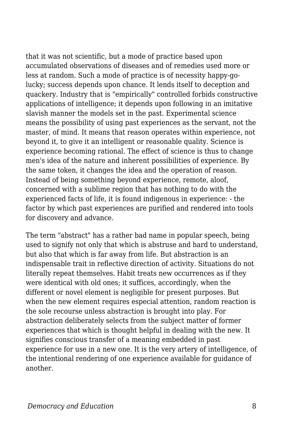that it was not scientific, but a mode of practice based upon accumulated observations of diseases and of remedies used more or less at random. Such a mode of practice is of necessity happy-golucky; success depends upon chance. It lends itself to deception and quackery. Industry that is "empirically" controlled forbids constructive applications of intelligence; it depends upon following in an imitative slavish manner the models set in the past. Experimental science means the possibility of using past experiences as the servant, not the master, of mind. It means that reason operates within experience, not beyond it, to give it an intelligent or reasonable quality. Science is experience becoming rational. The effect of science is thus to change men's idea of the nature and inherent possibilities of experience. By the same token, it changes the idea and the operation of reason. Instead of being something beyond experience, remote, aloof, concerned with a sublime region that has nothing to do with the experienced facts of life, it is found indigenous in experience: - the factor by which past experiences are purified and rendered into tools for discovery and advance.

The term "abstract" has a rather bad name in popular speech, being used to signify not only that which is abstruse and hard to understand, but also that which is far away from life. But abstraction is an indispensable trait in reflective direction of activity. Situations do not literally repeat themselves. Habit treats new occurrences as if they were identical with old ones; it suffices, accordingly, when the different or novel element is negligible for present purposes. But when the new element requires especial attention, random reaction is the sole recourse unless abstraction is brought into play. For abstraction deliberately selects from the subject matter of former experiences that which is thought helpful in dealing with the new. It signifies conscious transfer of a meaning embedded in past experience for use in a new one. It is the very artery of intelligence, of the intentional rendering of one experience available for guidance of another.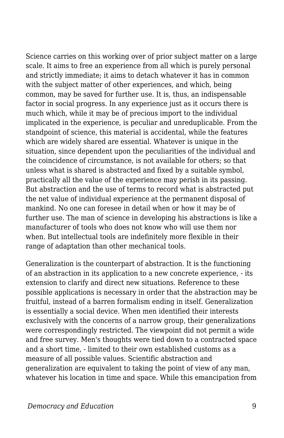Science carries on this working over of prior subject matter on a large scale. It aims to free an experience from all which is purely personal and strictly immediate; it aims to detach whatever it has in common with the subject matter of other experiences, and which, being common, may be saved for further use. It is, thus, an indispensable factor in social progress. In any experience just as it occurs there is much which, while it may be of precious import to the individual implicated in the experience, is peculiar and unreduplicable. From the standpoint of science, this material is accidental, while the features which are widely shared are essential. Whatever is unique in the situation, since dependent upon the peculiarities of the individual and the coincidence of circumstance, is not available for others; so that unless what is shared is abstracted and fixed by a suitable symbol, practically all the value of the experience may perish in its passing. But abstraction and the use of terms to record what is abstracted put the net value of individual experience at the permanent disposal of mankind. No one can foresee in detail when or how it may be of further use. The man of science in developing his abstractions is like a manufacturer of tools who does not know who will use them nor when. But intellectual tools are indefinitely more flexible in their range of adaptation than other mechanical tools.

Generalization is the counterpart of abstraction. It is the functioning of an abstraction in its application to a new concrete experience, - its extension to clarify and direct new situations. Reference to these possible applications is necessary in order that the abstraction may be fruitful, instead of a barren formalism ending in itself. Generalization is essentially a social device. When men identified their interests exclusively with the concerns of a narrow group, their generalizations were correspondingly restricted. The viewpoint did not permit a wide and free survey. Men's thoughts were tied down to a contracted space and a short time, - limited to their own established customs as a measure of all possible values. Scientific abstraction and generalization are equivalent to taking the point of view of any man, whatever his location in time and space. While this emancipation from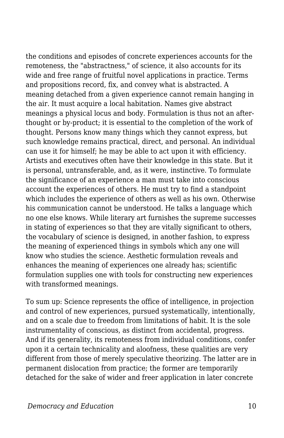the conditions and episodes of concrete experiences accounts for the remoteness, the "abstractness," of science, it also accounts for its wide and free range of fruitful novel applications in practice. Terms and propositions record, fix, and convey what is abstracted. A meaning detached from a given experience cannot remain hanging in the air. It must acquire a local habitation. Names give abstract meanings a physical locus and body. Formulation is thus not an afterthought or by-product; it is essential to the completion of the work of thought. Persons know many things which they cannot express, but such knowledge remains practical, direct, and personal. An individual can use it for himself; he may be able to act upon it with efficiency. Artists and executives often have their knowledge in this state. But it is personal, untransferable, and, as it were, instinctive. To formulate the significance of an experience a man must take into conscious account the experiences of others. He must try to find a standpoint which includes the experience of others as well as his own. Otherwise his communication cannot be understood. He talks a language which no one else knows. While literary art furnishes the supreme successes in stating of experiences so that they are vitally significant to others, the vocabulary of science is designed, in another fashion, to express the meaning of experienced things in symbols which any one will know who studies the science. Aesthetic formulation reveals and enhances the meaning of experiences one already has; scientific formulation supplies one with tools for constructing new experiences with transformed meanings.

To sum up: Science represents the office of intelligence, in projection and control of new experiences, pursued systematically, intentionally, and on a scale due to freedom from limitations of habit. It is the sole instrumentality of conscious, as distinct from accidental, progress. And if its generality, its remoteness from individual conditions, confer upon it a certain technicality and aloofness, these qualities are very different from those of merely speculative theorizing. The latter are in permanent dislocation from practice; the former are temporarily detached for the sake of wider and freer application in later concrete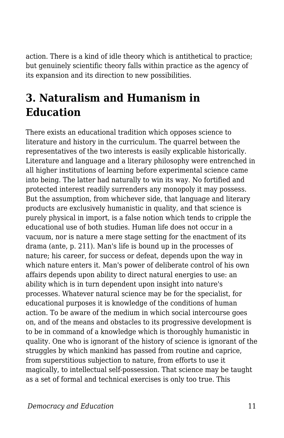action. There is a kind of idle theory which is antithetical to practice; but genuinely scientific theory falls within practice as the agency of its expansion and its direction to new possibilities.

## **3. Naturalism and Humanism in Education**

There exists an educational tradition which opposes science to literature and history in the curriculum. The quarrel between the representatives of the two interests is easily explicable historically. Literature and language and a literary philosophy were entrenched in all higher institutions of learning before experimental science came into being. The latter had naturally to win its way. No fortified and protected interest readily surrenders any monopoly it may possess. But the assumption, from whichever side, that language and literary products are exclusively humanistic in quality, and that science is purely physical in import, is a false notion which tends to cripple the educational use of both studies. Human life does not occur in a vacuum, nor is nature a mere stage setting for the enactment of its drama (ante, p. 211). Man's life is bound up in the processes of nature; his career, for success or defeat, depends upon the way in which nature enters it. Man's power of deliberate control of his own affairs depends upon ability to direct natural energies to use: an ability which is in turn dependent upon insight into nature's processes. Whatever natural science may be for the specialist, for educational purposes it is knowledge of the conditions of human action. To be aware of the medium in which social intercourse goes on, and of the means and obstacles to its progressive development is to be in command of a knowledge which is thoroughly humanistic in quality. One who is ignorant of the history of science is ignorant of the struggles by which mankind has passed from routine and caprice, from superstitious subjection to nature, from efforts to use it magically, to intellectual self-possession. That science may be taught as a set of formal and technical exercises is only too true. This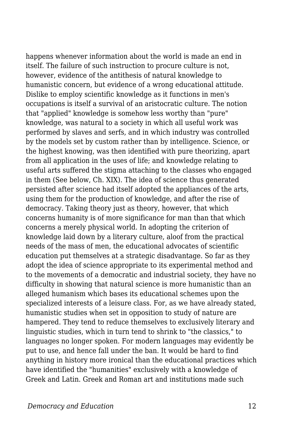happens whenever information about the world is made an end in itself. The failure of such instruction to procure culture is not, however, evidence of the antithesis of natural knowledge to humanistic concern, but evidence of a wrong educational attitude. Dislike to employ scientific knowledge as it functions in men's occupations is itself a survival of an aristocratic culture. The notion that "applied" knowledge is somehow less worthy than "pure" knowledge, was natural to a society in which all useful work was performed by slaves and serfs, and in which industry was controlled by the models set by custom rather than by intelligence. Science, or the highest knowing, was then identified with pure theorizing, apart from all application in the uses of life; and knowledge relating to useful arts suffered the stigma attaching to the classes who engaged in them (See below, Ch. XIX). The idea of science thus generated persisted after science had itself adopted the appliances of the arts, using them for the production of knowledge, and after the rise of democracy. Taking theory just as theory, however, that which concerns humanity is of more significance for man than that which concerns a merely physical world. In adopting the criterion of knowledge laid down by a literary culture, aloof from the practical needs of the mass of men, the educational advocates of scientific education put themselves at a strategic disadvantage. So far as they adopt the idea of science appropriate to its experimental method and to the movements of a democratic and industrial society, they have no difficulty in showing that natural science is more humanistic than an alleged humanism which bases its educational schemes upon the specialized interests of a leisure class. For, as we have already stated, humanistic studies when set in opposition to study of nature are hampered. They tend to reduce themselves to exclusively literary and linguistic studies, which in turn tend to shrink to "the classics," to languages no longer spoken. For modern languages may evidently be put to use, and hence fall under the ban. It would be hard to find anything in history more ironical than the educational practices which have identified the "humanities" exclusively with a knowledge of Greek and Latin. Greek and Roman art and institutions made such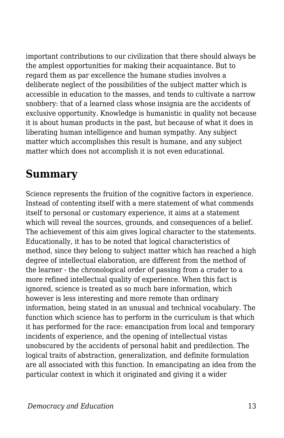important contributions to our civilization that there should always be the amplest opportunities for making their acquaintance. But to regard them as par excellence the humane studies involves a deliberate neglect of the possibilities of the subject matter which is accessible in education to the masses, and tends to cultivate a narrow snobbery: that of a learned class whose insignia are the accidents of exclusive opportunity. Knowledge is humanistic in quality not because it is about human products in the past, but because of what it does in liberating human intelligence and human sympathy. Any subject matter which accomplishes this result is humane, and any subject matter which does not accomplish it is not even educational.

### **Summary**

Science represents the fruition of the cognitive factors in experience. Instead of contenting itself with a mere statement of what commends itself to personal or customary experience, it aims at a statement which will reveal the sources, grounds, and consequences of a belief. The achievement of this aim gives logical character to the statements. Educationally, it has to be noted that logical characteristics of method, since they belong to subject matter which has reached a high degree of intellectual elaboration, are different from the method of the learner - the chronological order of passing from a cruder to a more refined intellectual quality of experience. When this fact is ignored, science is treated as so much bare information, which however is less interesting and more remote than ordinary information, being stated in an unusual and technical vocabulary. The function which science has to perform in the curriculum is that which it has performed for the race: emancipation from local and temporary incidents of experience, and the opening of intellectual vistas unobscured by the accidents of personal habit and predilection. The logical traits of abstraction, generalization, and definite formulation are all associated with this function. In emancipating an idea from the particular context in which it originated and giving it a wider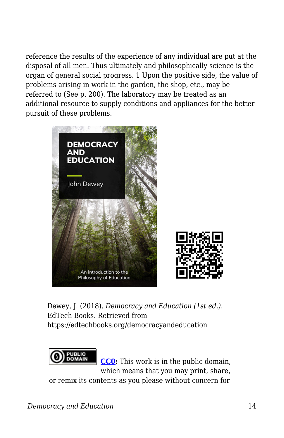reference the results of the experience of any individual are put at the disposal of all men. Thus ultimately and philosophically science is the organ of general social progress. 1 Upon the positive side, the value of problems arising in work in the garden, the shop, etc., may be referred to (See p. 200). The laboratory may be treated as an additional resource to supply conditions and appliances for the better pursuit of these problems.



Dewey, J. (2018). *Democracy and Education (1st ed.)*. EdTech Books. Retrieved from https://edtechbooks.org/democracyandeducation



**[CC0:](https://wiki.creativecommons.org/wiki/Public_domain)** This work is in the public domain, which means that you may print, share,

or remix its contents as you please without concern for